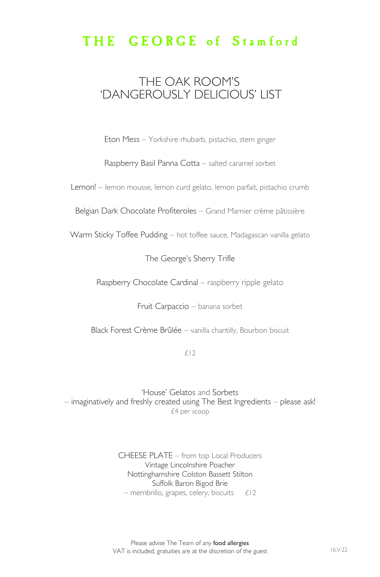## THE GEORGE of Stamford

## THE OAK ROOM'S 'DANGEROUSLY DELICIOUS' LIST

Eton Mess – Yorkshire rhubarb, pistachio, stem ginger

Raspberry Basil Panna Cotta – salted caramel sorbet

Lemon! – lemon mousse, lemon curd gelato, lemon parfait, pistachio crumb

Belgian Dark Chocolate Profiteroles – Grand Marnier crème pâtissière

Warm Sticky Toffee Pudding – hot toffee sauce, Madagascan vanilla gelato

The George's Sherry Trifle

Raspberry Chocolate Cardinal – raspberry ripple gelato

Fruit Carpaccio – banana sorbet

Black Forest Crème Brûlée – vanilla chantilly, Bourbon biscuit

£12

'House' Gelatos and Sorbets – imaginatively and freshly created using The Best Ingredients – please ask! £4 per scoop

> CHEESE PLATE – from top Local Producers Vintage Lincolnshire Poacher Nottinghamshire Colston Bassett Stilton Suffolk Baron Bigod Brie  $-$  membrillo, grapes, celery, biscuits  $£12$